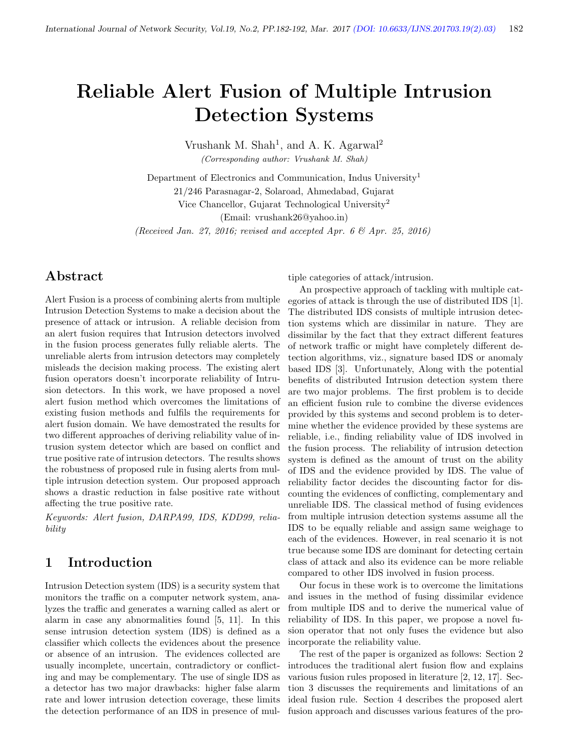# Reliable Alert Fusion of Multiple Intrusion Detection Systems

Vrushank M. Shah<sup>1</sup>, and A. K. Agarwal<sup>2</sup>

(Corresponding author: Vrushank M. Shah)

Department of Electronics and Communication, Indus University<sup>1</sup> 21/246 Parasnagar-2, Solaroad, Ahmedabad, Gujarat Vice Chancellor, Gujarat Technological University<sup>2</sup> (Email: vrushank26@yahoo.in)

(Received Jan. 27, 2016; revised and accepted Apr. 6  $\mathcal{O}(A)$  Apr. 25, 2016)

# Abstract

Alert Fusion is a process of combining alerts from multiple Intrusion Detection Systems to make a decision about the presence of attack or intrusion. A reliable decision from an alert fusion requires that Intrusion detectors involved in the fusion process generates fully reliable alerts. The unreliable alerts from intrusion detectors may completely misleads the decision making process. The existing alert fusion operators doesn't incorporate reliability of Intrusion detectors. In this work, we have proposed a novel alert fusion method which overcomes the limitations of existing fusion methods and fulfils the requirements for alert fusion domain. We have demostrated the results for two different approaches of deriving reliability value of intrusion system detector which are based on conflict and true positive rate of intrusion detectors. The results shows the robustness of proposed rule in fusing alerts from multiple intrusion detection system. Our proposed approach shows a drastic reduction in false positive rate without affecting the true positive rate.

Keywords: Alert fusion, DARPA99, IDS, KDD99, reliability

# 1 Introduction

Intrusion Detection system (IDS) is a security system that monitors the traffic on a computer network system, analyzes the traffic and generates a warning called as alert or alarm in case any abnormalities found [5, 11]. In this sense intrusion detection system (IDS) is defined as a classifier which collects the evidences about the presence or absence of an intrusion. The evidences collected are usually incomplete, uncertain, contradictory or conflicting and may be complementary. The use of single IDS as a detector has two major drawbacks: higher false alarm rate and lower intrusion detection coverage, these limits the detection performance of an IDS in presence of multiple categories of attack/intrusion.

An prospective approach of tackling with multiple categories of attack is through the use of distributed IDS [1]. The distributed IDS consists of multiple intrusion detection systems which are dissimilar in nature. They are dissimilar by the fact that they extract different features of network traffic or might have completely different detection algorithms, viz., signature based IDS or anomaly based IDS [3]. Unfortunately, Along with the potential benefits of distributed Intrusion detection system there are two major problems. The first problem is to decide an efficient fusion rule to combine the diverse evidences provided by this systems and second problem is to determine whether the evidence provided by these systems are reliable, i.e., finding reliability value of IDS involved in the fusion process. The reliability of intrusion detection system is defined as the amount of trust on the ability of IDS and the evidence provided by IDS. The value of reliability factor decides the discounting factor for discounting the evidences of conflicting, complementary and unreliable IDS. The classical method of fusing evidences from multiple intrusion detection systems assume all the IDS to be equally reliable and assign same weighage to each of the evidences. However, in real scenario it is not true because some IDS are dominant for detecting certain class of attack and also its evidence can be more reliable compared to other IDS involved in fusion process.

Our focus in these work is to overcome the limitations and issues in the method of fusing dissimilar evidence from multiple IDS and to derive the numerical value of reliability of IDS. In this paper, we propose a novel fusion operator that not only fuses the evidence but also incorporate the reliability value.

The rest of the paper is organized as follows: Section 2 introduces the traditional alert fusion flow and explains various fusion rules proposed in literature [2, 12, 17]. Section 3 discusses the requirements and limitations of an ideal fusion rule. Section 4 describes the proposed alert fusion approach and discusses various features of the pro-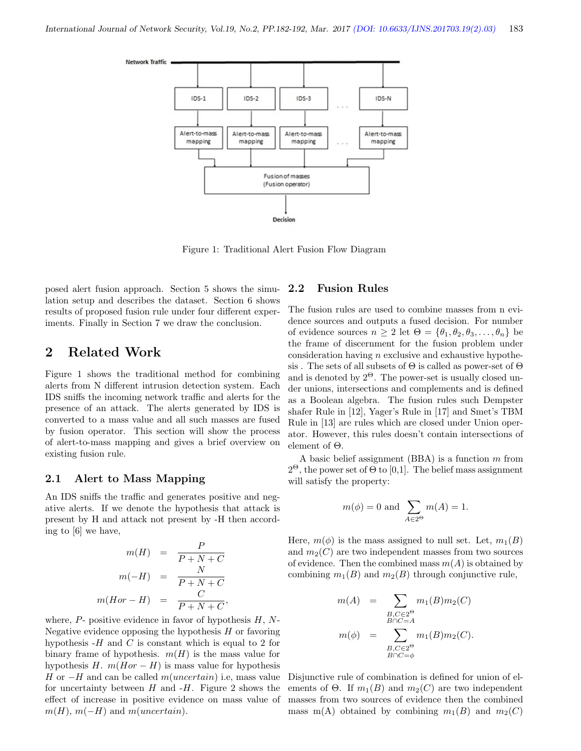

Figure 1: Traditional Alert Fusion Flow Diagram

posed alert fusion approach. Section 5 shows the simulation setup and describes the dataset. Section 6 shows results of proposed fusion rule under four different experiments. Finally in Section 7 we draw the conclusion.

### 2 Related Work

Figure 1 shows the traditional method for combining alerts from N different intrusion detection system. Each IDS sniffs the incoming network traffic and alerts for the presence of an attack. The alerts generated by IDS is converted to a mass value and all such masses are fused by fusion operator. This section will show the process of alert-to-mass mapping and gives a brief overview on existing fusion rule.

#### 2.1 Alert to Mass Mapping

An IDS sniffs the traffic and generates positive and negative alerts. If we denote the hypothesis that attack is present by H and attack not present by -H then according to [6] we have,

$$
m(H) = \frac{P}{P + N + C}
$$

$$
m(-H) = \frac{N}{P + N + C}
$$

$$
m(Hor - H) = \frac{C}{P + N + C},
$$

where,  $P$ - positive evidence in favor of hypothesis  $H, N$ -Negative evidence opposing the hypothesis  $H$  or favoring hypothesis  $-H$  and C is constant which is equal to 2 for binary frame of hypothesis.  $m(H)$  is the mass value for hypothesis H.  $m(Hor - H)$  is mass value for hypothesis H or  $-H$  and can be called  $m(uncertain)$  i.e, mass value for uncertainty between  $H$  and  $-H$ . Figure 2 shows the effect of increase in positive evidence on mass value of  $m(H)$ ,  $m(-H)$  and  $m(uncertain)$ .

#### 2.2 Fusion Rules

The fusion rules are used to combine masses from n evidence sources and outputs a fused decision. For number of evidence sources  $n \geq 2$  let  $\Theta = {\theta_1, \theta_2, \theta_3, \dots, \theta_n}$  be the frame of discernment for the fusion problem under consideration having  $n$  exclusive and exhaustive hypothesis. The sets of all subsets of  $\Theta$  is called as power-set of  $\Theta$ and is denoted by  $2^{\Theta}$ . The power-set is usually closed under unions, intersections and complements and is defined as a Boolean algebra. The fusion rules such Dempster shafer Rule in [12], Yager's Rule in [17] and Smet's TBM Rule in [13] are rules which are closed under Union operator. However, this rules doesn't contain intersections of element of Θ.

A basic belief assignment (BBA) is a function  $m$  from  $2^{\Theta}$ , the power set of  $\Theta$  to [0,1]. The belief mass assignment will satisfy the property:

$$
m(\phi) = 0 \text{ and } \sum_{A \in 2^{\Theta}} m(A) = 1.
$$

Here,  $m(\phi)$  is the mass assigned to null set. Let,  $m_1(B)$ and  $m_2(C)$  are two independent masses from two sources of evidence. Then the combined mass  $m(A)$  is obtained by combining  $m_1(B)$  and  $m_2(B)$  through conjunctive rule,

$$
m(A) = \sum_{\substack{B,C \in 2^{\Theta} \\ B \cap C = A}} m_1(B)m_2(C)
$$

$$
m(\phi) = \sum_{\substack{B,C \in 2^{\Theta} \\ B \cap C = \phi}} m_1(B)m_2(C).
$$

Disjunctive rule of combination is defined for union of elements of  $\Theta$ . If  $m_1(B)$  and  $m_2(C)$  are two independent masses from two sources of evidence then the combined mass m(A) obtained by combining  $m_1(B)$  and  $m_2(C)$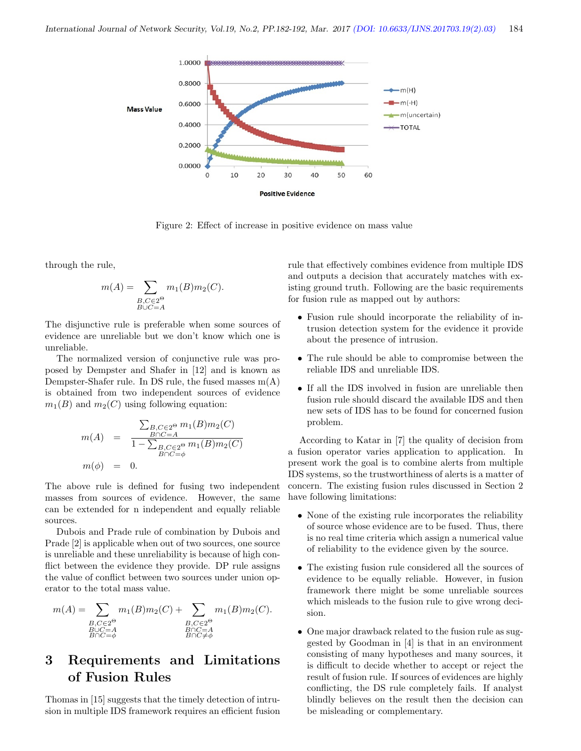

Figure 2: Effect of increase in positive evidence on mass value

through the rule,

$$
m(A) = \sum_{\substack{B,C \in 2^{\Theta} \\ B \cup C = A}} m_1(B)m_2(C).
$$

The disjunctive rule is preferable when some sources of evidence are unreliable but we don't know which one is unreliable.

The normalized version of conjunctive rule was proposed by Dempster and Shafer in [12] and is known as Dempster-Shafer rule. In DS rule, the fused masses  $m(A)$ is obtained from two independent sources of evidence  $m_1(B)$  and  $m_2(C)$  using following equation:

$$
m(A) = \frac{\sum_{B,C \in 2^{\Theta}} m_1(B)m_2(C)}{1 - \sum_{B,C \in 2^{\Theta}} m_1(B)m_2(C)}
$$
  

$$
m(\phi) = 0.
$$

The above rule is defined for fusing two independent masses from sources of evidence. However, the same can be extended for n independent and equally reliable sources.

Dubois and Prade rule of combination by Dubois and Prade [2] is applicable when out of two sources, one source is unreliable and these unreliability is because of high conflict between the evidence they provide. DP rule assigns the value of conflict between two sources under union operator to the total mass value.

$$
m(A) = \sum_{\substack{B,C \in 2^{\Theta} \\ B \cup C = A \\ B \cap C = \phi}} m_1(B)m_2(C) + \sum_{\substack{B,C \in 2^{\Theta} \\ B \cap C = A \\ B \cap C \neq \phi}} m_1(B)m_2(C).
$$

# 3 Requirements and Limitations of Fusion Rules

Thomas in [15] suggests that the timely detection of intrusion in multiple IDS framework requires an efficient fusion

rule that effectively combines evidence from multiple IDS and outputs a decision that accurately matches with existing ground truth. Following are the basic requirements for fusion rule as mapped out by authors:

- Fusion rule should incorporate the reliability of intrusion detection system for the evidence it provide about the presence of intrusion.
- The rule should be able to compromise between the reliable IDS and unreliable IDS.
- If all the IDS involved in fusion are unreliable then fusion rule should discard the available IDS and then new sets of IDS has to be found for concerned fusion problem.

According to Katar in [7] the quality of decision from a fusion operator varies application to application. In present work the goal is to combine alerts from multiple IDS systems, so the trustworthiness of alerts is a matter of concern. The existing fusion rules discussed in Section 2 have following limitations:

- None of the existing rule incorporates the reliability of source whose evidence are to be fused. Thus, there is no real time criteria which assign a numerical value of reliability to the evidence given by the source.
- The existing fusion rule considered all the sources of evidence to be equally reliable. However, in fusion framework there might be some unreliable sources which misleads to the fusion rule to give wrong decision.
- One major drawback related to the fusion rule as suggested by Goodman in [4] is that in an environment consisting of many hypotheses and many sources, it is difficult to decide whether to accept or reject the result of fusion rule. If sources of evidences are highly conflicting, the DS rule completely fails. If analyst blindly believes on the result then the decision can be misleading or complementary.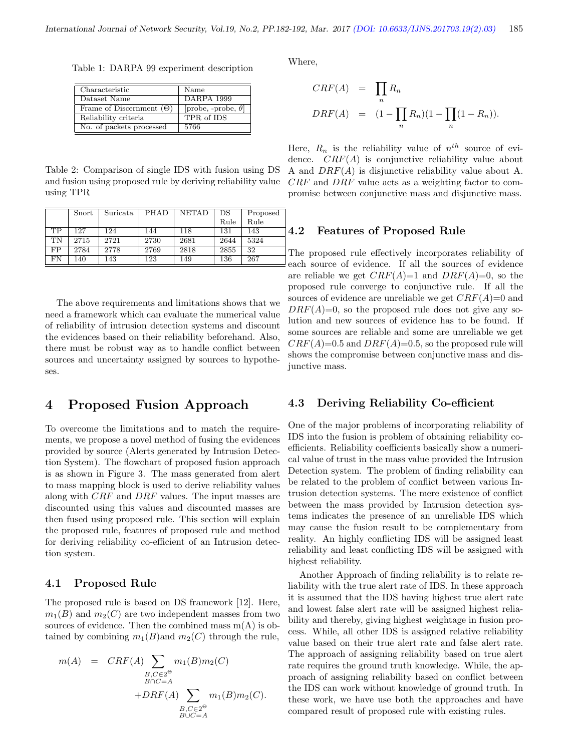Table 1: DARPA 99 experiment description

| Characteristic                  | Name                       |
|---------------------------------|----------------------------|
| Dataset Name                    | DARPA 1999                 |
| Frame of Discernment $(\Theta)$ | [probe, -probe, $\theta$ ] |
| Reliability criteria            | TPR of IDS                 |
| No. of packets processed        | 5766                       |

Table 2: Comparison of single IDS with fusion using DS and fusion using proposed rule by deriving reliability value using TPR

|           | Snort | Suricata | PHAD | <b>NETAD</b> | DS   | Proposed |
|-----------|-------|----------|------|--------------|------|----------|
|           |       |          |      |              | Rule | Rule     |
| <b>TP</b> | 127   | 124      | 144  | 118          | 131  | 143      |
| <b>TN</b> | 2715  | 2721     | 2730 | 2681         | 2644 | 5324     |
| FP        | 2784  | 2778     | 2769 | 2818         | 2855 | 32       |
| FN        | 140   | 143      | 123  | 149          | 136  | 267      |

The above requirements and limitations shows that we need a framework which can evaluate the numerical value of reliability of intrusion detection systems and discount the evidences based on their reliability beforehand. Also, there must be robust way as to handle conflict between sources and uncertainty assigned by sources to hypotheses.

## 4 Proposed Fusion Approach

To overcome the limitations and to match the requirements, we propose a novel method of fusing the evidences provided by source (Alerts generated by Intrusion Detection System). The flowchart of proposed fusion approach is as shown in Figure 3. The mass generated from alert to mass mapping block is used to derive reliability values along with CRF and DRF values. The input masses are discounted using this values and discounted masses are then fused using proposed rule. This section will explain the proposed rule, features of proposed rule and method for deriving reliability co-efficient of an Intrusion detection system.

#### 4.1 Proposed Rule

The proposed rule is based on DS framework [12]. Here,  $m_1(B)$  and  $m_2(C)$  are two independent masses from two sources of evidence. Then the combined mass  $m(A)$  is obtained by combining  $m_1(B)$  and  $m_2(C)$  through the rule,

$$
m(A) = CRF(A) \sum_{\substack{B,C \in 2^{\Theta} \\ B \cap C = A}} m_1(B)m_2(C)
$$

$$
+DRF(A) \sum_{\substack{B,C \in 2^{\Theta} \\ B \cup C = A}} m_1(B)m_2(C).
$$

Where,

$$
CRF(A) = \prod_{n} R_n
$$
  

$$
DRF(A) = (1 - \prod_{n} R_n)(1 - \prod_{n} (1 - R_n)).
$$

Here,  $R_n$  is the reliability value of  $n^{th}$  source of evidence.  $CRF(A)$  is conjunctive reliability value about A and  $DRF(A)$  is disjunctive reliability value about A. CRF and DRF value acts as a weighting factor to compromise between conjunctive mass and disjunctive mass.

#### 4.2 Features of Proposed Rule

The proposed rule effectively incorporates reliability of each source of evidence. If all the sources of evidence are reliable we get  $CRF(A)=1$  and  $DRF(A)=0$ , so the proposed rule converge to conjunctive rule. If all the sources of evidence are unreliable we get  $CRF(A)=0$  and  $DRF(A)=0$ , so the proposed rule does not give any solution and new sources of evidence has to be found. If some sources are reliable and some are unreliable we get  $CRF(A)=0.5$  and  $DRF(A)=0.5$ , so the proposed rule will shows the compromise between conjunctive mass and disjunctive mass.

#### 4.3 Deriving Reliability Co-efficient

One of the major problems of incorporating reliability of IDS into the fusion is problem of obtaining reliability coefficients. Reliability coefficients basically show a numerical value of trust in the mass value provided the Intrusion Detection system. The problem of finding reliability can be related to the problem of conflict between various Intrusion detection systems. The mere existence of conflict between the mass provided by Intrusion detection systems indicates the presence of an unreliable IDS which may cause the fusion result to be complementary from reality. An highly conflicting IDS will be assigned least reliability and least conflicting IDS will be assigned with highest reliability.

Another Approach of finding reliability is to relate reliability with the true alert rate of IDS. In these approach it is assumed that the IDS having highest true alert rate and lowest false alert rate will be assigned highest reliability and thereby, giving highest weightage in fusion process. While, all other IDS is assigned relative reliability value based on their true alert rate and false alert rate. The approach of assigning reliability based on true alert rate requires the ground truth knowledge. While, the approach of assigning reliability based on conflict between the IDS can work without knowledge of ground truth. In these work, we have use both the approaches and have compared result of proposed rule with existing rules.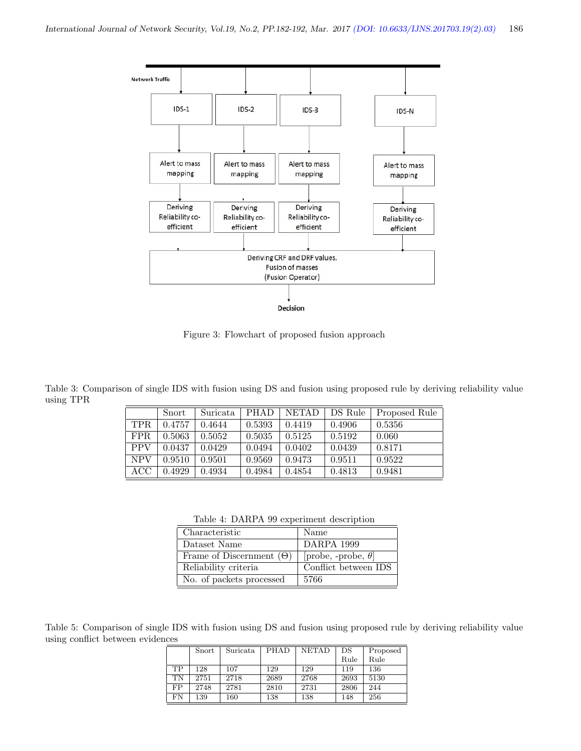

Figure 3: Flowchart of proposed fusion approach

Table 3: Comparison of single IDS with fusion using DS and fusion using proposed rule by deriving reliability value using TPR

|            | Snort  | Suricata | <b>PHAD</b> | NETAD  | DS Rule | Proposed Rule |
|------------|--------|----------|-------------|--------|---------|---------------|
| TPR.       | 0.4757 | 0.4644   | 0.5393      | 0.4419 | 0.4906  | 0.5356        |
| FPR.       | 0.5063 | 0.5052   | 0.5035      | 0.5125 | 0.5192  | 0.060         |
| <b>PPV</b> | 0.0437 | 0.0429   | 0.0494      | 0.0402 | 0.0439  | 0.8171        |
| <b>NPV</b> | 0.9510 | 0.9501   | 0.9569      | 0.9473 | 0.9511  | 0.9522        |
| ACC        | 0.4929 | 0.4934   | 0.4984      | 0.4854 | 0.4813  | 0.9481        |

Table 4: DARPA 99 experiment description

| Characteristic                  | Name                       |
|---------------------------------|----------------------------|
| Dataset Name                    | DARPA 1999                 |
| Frame of Discernment $(\Theta)$ | [probe, -probe, $\theta$ ] |
| Reliability criteria            | Conflict between IDS       |
| No. of packets processed        | 5766                       |

Table 5: Comparison of single IDS with fusion using DS and fusion using proposed rule by deriving reliability value using conflict between evidences

|           | Snort | Suricata | PHAD | <b>NETAD</b> | DS   | Proposed |
|-----------|-------|----------|------|--------------|------|----------|
|           |       |          |      |              | Rule | Rule     |
| TP        | 128   | 107      | 129  | 129          | 119  | 136      |
| <b>TN</b> | 2751  | 2718     | 2689 | 2768         | 2693 | 5130     |
| FP        | 2748  | 2781     | 2810 | 2731         | 2806 | 244      |
| FN        | 139   | 160      | 138  | 138          | 148  | 256      |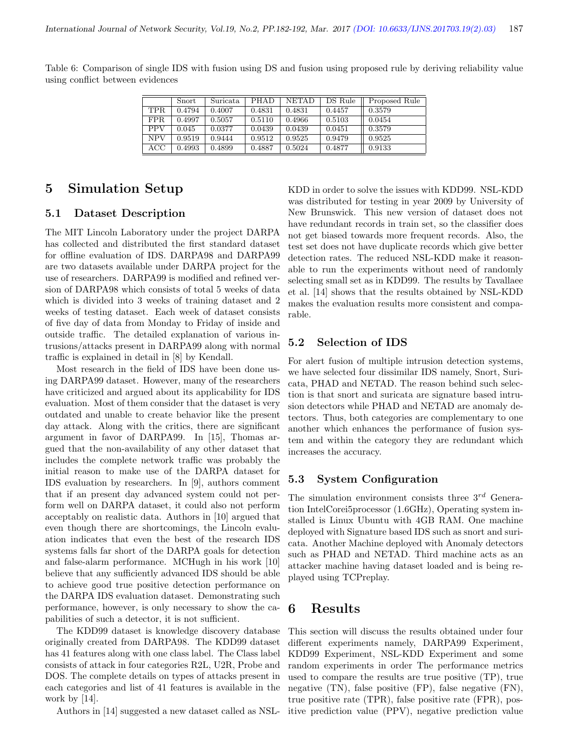|                   | Snort  | Suricata | PHAD   | <b>NETAD</b> | DS Rule | Proposed Rule |
|-------------------|--------|----------|--------|--------------|---------|---------------|
| TPR.              | 0.4794 | 0.4007   | 0.4831 | 0.4831       | 0.4457  | 0.3579        |
| FPR.              | 0.4997 | 0.5057   | 0.5110 | 0.4966       | 0.5103  | 0.0454        |
| <b>PPV</b>        | 0.045  | 0.0377   | 0.0439 | 0.0439       | 0.0451  | 0.3579        |
| <b>NPV</b>        | 0.9519 | 0.9444   | 0.9512 | 0.9525       | 0.9479  | 0.9525        |
| $_{\mathrm{ACC}}$ | 0.4993 | 0.4899   | 0.4887 | 0.5024       | 0.4877  | 0.9133        |

Table 6: Comparison of single IDS with fusion using DS and fusion using proposed rule by deriving reliability value using conflict between evidences

# 5 Simulation Setup

#### 5.1 Dataset Description

The MIT Lincoln Laboratory under the project DARPA has collected and distributed the first standard dataset for offline evaluation of IDS. DARPA98 and DARPA99 are two datasets available under DARPA project for the use of researchers. DARPA99 is modified and refined version of DARPA98 which consists of total 5 weeks of data which is divided into 3 weeks of training dataset and 2 weeks of testing dataset. Each week of dataset consists of five day of data from Monday to Friday of inside and outside traffic. The detailed explanation of various intrusions/attacks present in DARPA99 along with normal traffic is explained in detail in [8] by Kendall.

Most research in the field of IDS have been done using DARPA99 dataset. However, many of the researchers have criticized and argued about its applicability for IDS evaluation. Most of them consider that the dataset is very outdated and unable to create behavior like the present day attack. Along with the critics, there are significant argument in favor of DARPA99. In [15], Thomas argued that the non-availability of any other dataset that includes the complete network traffic was probably the initial reason to make use of the DARPA dataset for IDS evaluation by researchers. In [9], authors comment that if an present day advanced system could not perform well on DARPA dataset, it could also not perform acceptably on realistic data. Authors in [10] argued that even though there are shortcomings, the Lincoln evaluation indicates that even the best of the research IDS systems falls far short of the DARPA goals for detection and false-alarm performance. MCHugh in his work [10] believe that any sufficiently advanced IDS should be able to achieve good true positive detection performance on the DARPA IDS evaluation dataset. Demonstrating such performance, however, is only necessary to show the capabilities of such a detector, it is not sufficient.

The KDD99 dataset is knowledge discovery database originally created from DARPA98. The KDD99 dataset has 41 features along with one class label. The Class label consists of attack in four categories R2L, U2R, Probe and DOS. The complete details on types of attacks present in each categories and list of 41 features is available in the work by [14].

Authors in [14] suggested a new dataset called as NSL-

KDD in order to solve the issues with KDD99. NSL-KDD was distributed for testing in year 2009 by University of New Brunswick. This new version of dataset does not have redundant records in train set, so the classifier does not get biased towards more frequent records. Also, the test set does not have duplicate records which give better detection rates. The reduced NSL-KDD make it reasonable to run the experiments without need of randomly selecting small set as in KDD99. The results by Tavallaee et al. [14] shows that the results obtained by NSL-KDD makes the evaluation results more consistent and comparable.

### 5.2 Selection of IDS

For alert fusion of multiple intrusion detection systems, we have selected four dissimilar IDS namely, Snort, Suricata, PHAD and NETAD. The reason behind such selection is that snort and suricata are signature based intrusion detectors while PHAD and NETAD are anomaly detectors. Thus, both categories are complementary to one another which enhances the performance of fusion system and within the category they are redundant which increases the accuracy.

#### 5.3 System Configuration

The simulation environment consists three  $3^{rd}$  Generation IntelCorei5processor (1.6GHz), Operating system installed is Linux Ubuntu with 4GB RAM. One machine deployed with Signature based IDS such as snort and suricata. Another Machine deployed with Anomaly detectors such as PHAD and NETAD. Third machine acts as an attacker machine having dataset loaded and is being replayed using TCPreplay.

## 6 Results

This section will discuss the results obtained under four different experiments namely, DARPA99 Experiment, KDD99 Experiment, NSL-KDD Experiment and some random experiments in order The performance metrics used to compare the results are true positive (TP), true negative (TN), false positive (FP), false negative (FN), true positive rate (TPR), false positive rate (FPR), positive prediction value (PPV), negative prediction value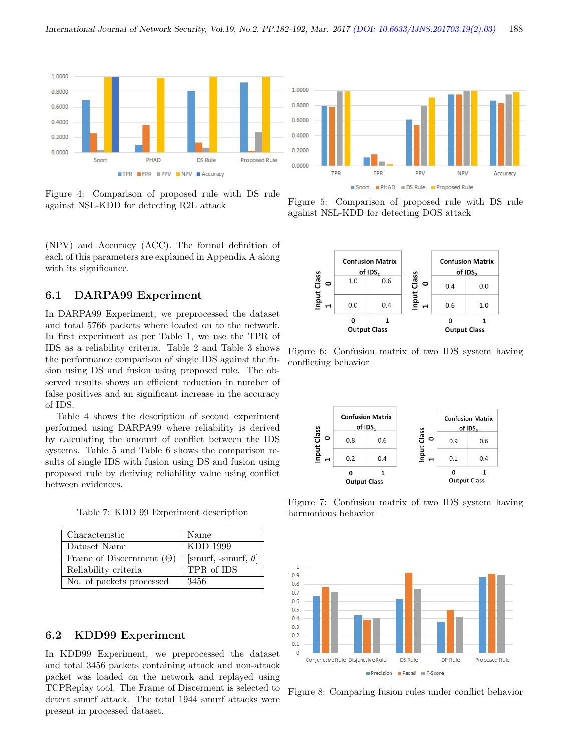

Figure 4: Comparison of proposed rule with DS rule against NSL-KDD for detecting R2L attack

(NPV) and Accuracy (ACC). The formal definition of each of this parameters are explained in Appendix A along with its significance.

#### 6.1 DARPA99 Experiment

In DARPA99 Experiment, we preprocessed the dataset and total 5766 packets where loaded on to the network. In first experiment as per Table 1, we use the TPR of IDS as a reliability criteria. Table 2 and Table 3 shows the performance comparison of single IDS against the fusion using DS and fusion using proposed rule. The observed results shows an efficient reduction in number of false positives and an significant increase in the accuracy of IDS.

Table 4 shows the description of second experiment performed using DARPA99 where reliability is derived by calculating the amount of conflict between the IDS systems. Table 5 and Table 6 shows the comparison results of single IDS with fusion using DS and fusion using proposed rule by deriving reliability value using conflict between evidences.

Table 7: KDD 99 Experiment description

| Characteristic                  | Name                       |
|---------------------------------|----------------------------|
| Dataset Name                    | KDD 1999                   |
| Frame of Discernment $(\Theta)$ | [smurf, -smurf, $\theta$ ] |
| Reliability criteria            | TPR of IDS                 |
| No. of packets processed        | 3456                       |

#### 6.2 KDD99 Experiment

In KDD99 Experiment, we preprocessed the dataset and total 3456 packets containing attack and non-attack packet was loaded on the network and replayed using TCPReplay tool. The Frame of Discerment is selected to detect smurf attack. The total 1944 smurf attacks were present in processed dataset.



Figure 5: Comparison of proposed rule with DS rule against NSL-KDD for detecting DOS attack



Figure 6: Confusion matrix of two IDS system having conflicting behavior



Figure 7: Confusion matrix of two IDS system having harmonious behavior



Figure 8: Comparing fusion rules under conflict behavior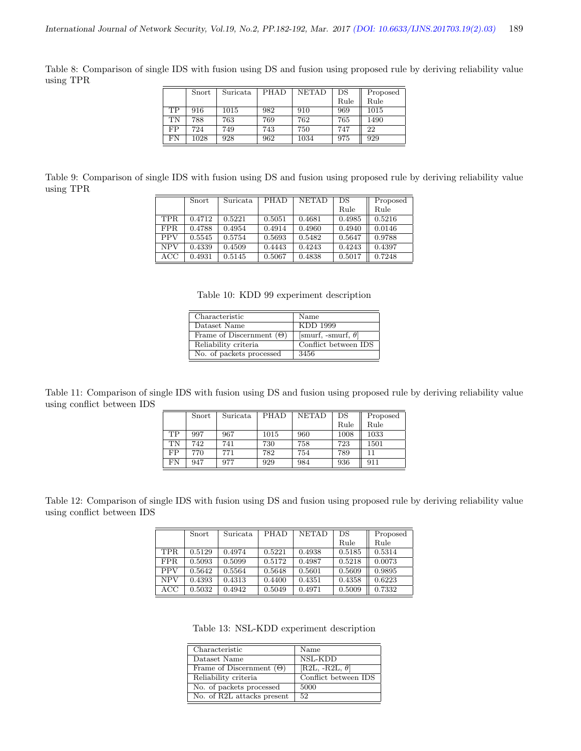Table 8: Comparison of single IDS with fusion using DS and fusion using proposed rule by deriving reliability value using TPR

|    | Snort | Suricata | PHAD | <b>NETAD</b> | DS   | Proposed |
|----|-------|----------|------|--------------|------|----------|
|    |       |          |      |              | Rule | Rule     |
| TP | 916   | 1015     | 982  | 910          | 969  | 1015     |
| TN | 788   | 763      | 769  | 762          | 765  | 1490     |
| FP | 724   | 749      | 743  | 750          | 747  | 22       |
| FN | 1028  | 928      | 962  | 1034         | 975  | 929      |

Table 9: Comparison of single IDS with fusion using DS and fusion using proposed rule by deriving reliability value using TPR

|            | Snort  | Suricata | PHAD   | <b>NETAD</b> | DS     | Proposed |
|------------|--------|----------|--------|--------------|--------|----------|
|            |        |          |        |              | Rule   | Rule     |
| <b>TPR</b> | 0.4712 | 0.5221   | 0.5051 | 0.4681       | 0.4985 | 0.5216   |
| <b>FPR</b> | 0.4788 | 0.4954   | 0.4914 | 0.4960       | 0.4940 | 0.0146   |
| <b>PPV</b> | 0.5545 | 0.5754   | 0.5693 | 0.5482       | 0.5647 | 0.9788   |
| <b>NPV</b> | 0.4339 | 0.4509   | 0.4443 | 0.4243       | 0.4243 | 0.4397   |
| ACC        | 0.4931 | 0.5145   | 0.5067 | 0.4838       | 0.5017 | 0.7248   |

Table 10: KDD 99 experiment description

| Characteristic                  | Name                       |
|---------------------------------|----------------------------|
| Dataset Name                    | KDD 1999                   |
| Frame of Discernment $(\Theta)$ | [smurf, -smurf, $\theta$ ] |
| Reliability criteria            | Conflict between IDS       |
| No. of packets processed        | 3456                       |

Table 11: Comparison of single IDS with fusion using DS and fusion using proposed rule by deriving reliability value using conflict between IDS 

|    | Snort | Suricata | PHAD | <b>NETAD</b> | DS   | Proposed |
|----|-------|----------|------|--------------|------|----------|
|    |       |          |      |              | Rule | Rule     |
| TP | 997   | 967      | 1015 | 960          | 1008 | 1033     |
| TN | 742   | 741      | 730  | 758          | 723  | 1501     |
| FP | 770   | 771      | 782  | 754          | 789  | 11       |
| FN | 947   | 977      | 929  | 984          | 936  | 911      |

Table 12: Comparison of single IDS with fusion using DS and fusion using proposed rule by deriving reliability value using conflict between IDS

|            | Snort  | Suricata | PHAD   | <b>NETAD</b> | DS     | Proposed |
|------------|--------|----------|--------|--------------|--------|----------|
|            |        |          |        |              | Rule   | Rule     |
| <b>TPR</b> | 0.5129 | 0.4974   | 0.5221 | 0.4938       | 0.5185 | 0.5314   |
| <b>FPR</b> | 0.5093 | 0.5099   | 0.5172 | 0.4987       | 0.5218 | 0.0073   |
| <b>PPV</b> | 0.5642 | 0.5564   | 0.5648 | 0.5601       | 0.5609 | 0.9895   |
| <b>NPV</b> | 0.4393 | 0.4313   | 0.4400 | 0.4351       | 0.4358 | 0.6223   |
| ACC        | 0.5032 | 0.4942   | 0.5049 | 0.4971       | 0.5009 | 0.7332   |

Table 13: NSL-KDD experiment description

| Characteristic                  | Name                   |
|---------------------------------|------------------------|
| Dataset Name                    | NSL-KDD                |
| Frame of Discernment $(\Theta)$ | [R2L, -R2L, $\theta$ ] |
| Reliability criteria            | Conflict between IDS   |
| No. of packets processed        | 5000                   |
| No. of R2L attacks present      | 52                     |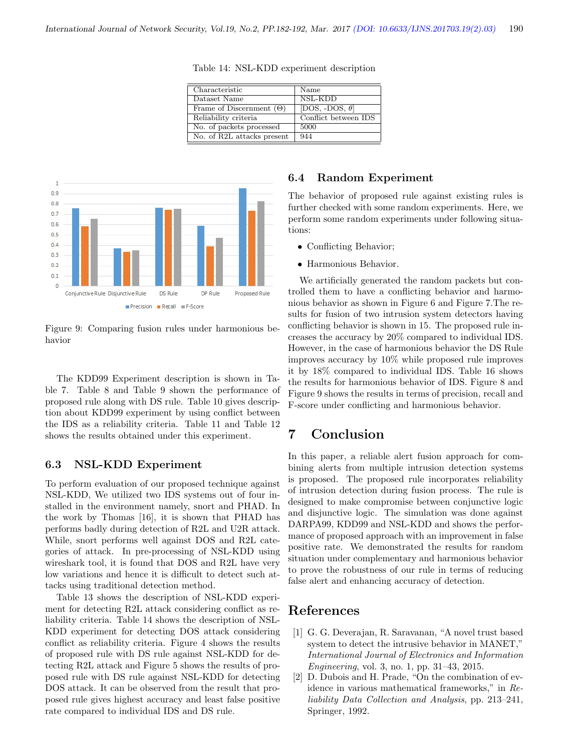| Characteristic                  | Name                   |
|---------------------------------|------------------------|
| Dataset Name                    | NSL-KDD                |
| Frame of Discernment $(\Theta)$ | [DOS, -DOS, $\theta$ ] |
| Reliability criteria            | Conflict between IDS   |
| No. of packets processed        | 5000                   |
| No. of R2L attacks present      | 944                    |

Table 14: NSL-KDD experiment description



Figure 9: Comparing fusion rules under harmonious behavior

The KDD99 Experiment description is shown in Table 7. Table 8 and Table 9 shown the performance of proposed rule along with DS rule. Table 10 gives description about KDD99 experiment by using conflict between the IDS as a reliability criteria. Table 11 and Table 12 shows the results obtained under this experiment.

#### 6.3 NSL-KDD Experiment

To perform evaluation of our proposed technique against NSL-KDD, We utilized two IDS systems out of four installed in the environment namely, snort and PHAD. In the work by Thomas [16], it is shown that PHAD has performs badly during detection of R2L and U2R attack. While, snort performs well against DOS and R2L categories of attack. In pre-processing of NSL-KDD using wireshark tool, it is found that DOS and R2L have very low variations and hence it is difficult to detect such attacks using traditional detection method.

Table 13 shows the description of NSL-KDD experiment for detecting R2L attack considering conflict as reliability criteria. Table 14 shows the description of NSL-KDD experiment for detecting DOS attack considering conflict as reliability criteria. Figure 4 shows the results of proposed rule with DS rule against NSL-KDD for detecting R2L attack and Figure 5 shows the results of proposed rule with DS rule against NSL-KDD for detecting DOS attack. It can be observed from the result that proposed rule gives highest accuracy and least false positive rate compared to individual IDS and DS rule.

#### 6.4 Random Experiment

The behavior of proposed rule against existing rules is further checked with some random experiments. Here, we perform some random experiments under following situations:

- Conflicting Behavior;
- Harmonious Behavior.

We artificially generated the random packets but controlled them to have a conflicting behavior and harmonious behavior as shown in Figure 6 and Figure 7.The results for fusion of two intrusion system detectors having conflicting behavior is shown in 15. The proposed rule increases the accuracy by 20% compared to individual IDS. However, in the case of harmonious behavior the DS Rule improves accuracy by 10% while proposed rule improves it by 18% compared to individual IDS. Table 16 shows the results for harmonious behavior of IDS. Figure 8 and Figure 9 shows the results in terms of precision, recall and F-score under conflicting and harmonious behavior.

# 7 Conclusion

In this paper, a reliable alert fusion approach for combining alerts from multiple intrusion detection systems is proposed. The proposed rule incorporates reliability of intrusion detection during fusion process. The rule is designed to make compromise between conjunctive logic and disjunctive logic. The simulation was done against DARPA99, KDD99 and NSL-KDD and shows the performance of proposed approach with an improvement in false positive rate. We demonstrated the results for random situation under complementary and harmonious behavior to prove the robustness of our rule in terms of reducing false alert and enhancing accuracy of detection.

#### References

- [1] G. G. Deverajan, R. Saravanan, "A novel trust based system to detect the intrusive behavior in MANET," International Journal of Electronics and Information Engineering, vol. 3, no. 1, pp. 31–43, 2015.
- [2] D. Dubois and H. Prade, "On the combination of evidence in various mathematical frameworks," in Reliability Data Collection and Analysis, pp. 213–241, Springer, 1992.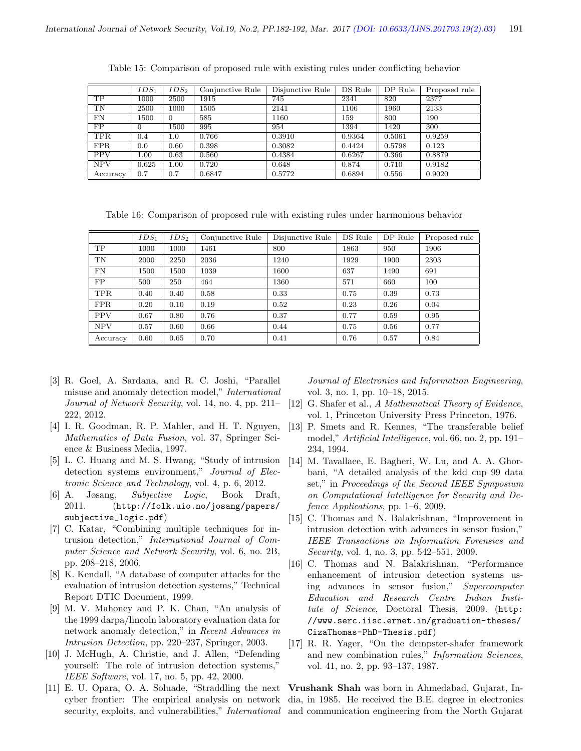|            | $IDS_1$  | $IDS_2$  | Conjunctive Rule | Disjunctive Rule | DS Rule | $\overline{DP}$ Rule | Proposed rule |
|------------|----------|----------|------------------|------------------|---------|----------------------|---------------|
| <b>TP</b>  | 1000     | 2500     | 1915             | 745              | 2341    | 820                  | 2377          |
| TN         | 2500     | 1000     | 1505             | 2141             | 1106    | 1960                 | 2133          |
| FN         | 1500     | $\Omega$ | 585              | 1160             | 159     | 800                  | 190           |
| FP         | $\Omega$ | 1500     | 995              | 954              | 1394    | 1420                 | 300           |
| <b>TPR</b> | 0.4      | 1.0      | 0.766            | 0.3910           | 0.9364  | 0.5061               | 0.9259        |
| <b>FPR</b> | 0.0      | 0.60     | 0.398            | 0.3082           | 0.4424  | 0.5798               | 0.123         |
| <b>PPV</b> | 1.00     | 0.63     | 0.560            | 0.4384           | 0.6267  | 0.366                | 0.8879        |
| <b>NPV</b> | 0.625    | 1.00     | 0.720            | 0.648            | 0.874   | 0.710                | 0.9182        |
| Accuracy   | 0.7      | 0.7      | 0.6847           | 0.5772           | 0.6894  | 0.556                | 0.9020        |

Table 15: Comparison of proposed rule with existing rules under conflicting behavior

Table 16: Comparison of proposed rule with existing rules under harmonious behavior

|            | $IDS_1$ | $IDS_2$ | Conjunctive Rule | Disjunctive Rule | DS Rule | DP Rule | Proposed rule |
|------------|---------|---------|------------------|------------------|---------|---------|---------------|
| <b>TP</b>  | 1000    | 1000    | 1461             | 800              | 1863    | 950     | 1906          |
| TN         | 2000    | 2250    | 2036             | 1240             | 1929    | 1900    | 2303          |
| FN         | 1500    | 1500    | 1039             | 1600             | 637     | 1490    | 691           |
| FP.        | 500     | 250     | 464              | 1360             | 571     | 660     | 100           |
| <b>TPR</b> | 0.40    | 0.40    | 0.58             | 0.33             | 0.75    | 0.39    | 0.73          |
| <b>FPR</b> | 0.20    | 0.10    | 0.19             | 0.52             | 0.23    | 0.26    | 0.04          |
| <b>PPV</b> | 0.67    | 0.80    | 0.76             | 0.37             | 0.77    | 0.59    | 0.95          |
| <b>NPV</b> | 0.57    | 0.60    | 0.66             | 0.44             | 0.75    | 0.56    | 0.77          |
| Accuracy   | 0.60    | 0.65    | 0.70             | 0.41             | 0.76    | 0.57    | 0.84          |

- [3] R. Goel, A. Sardana, and R. C. Joshi, "Parallel misuse and anomaly detection model," International Journal of Network Security, vol. 14, no. 4, pp. 211– 222, 2012.
- [4] I. R. Goodman, R. P. Mahler, and H. T. Nguyen, Mathematics of Data Fusion, vol. 37, Springer Science & Business Media, 1997.
- [5] L. C. Huang and M. S. Hwang, "Study of intrusion detection systems environment," Journal of Electronic Science and Technology, vol. 4, p. 6, 2012.
- [6] A. Jøsang, Subjective Logic, Book Draft, 2011. (http://folk.uio.no/josang/papers/ subjective\_logic.pdf)
- [7] C. Katar, "Combining multiple techniques for intrusion detection," International Journal of Computer Science and Network Security, vol. 6, no. 2B, pp. 208–218, 2006.
- [8] K. Kendall, "A database of computer attacks for the evaluation of intrusion detection systems," Technical Report DTIC Document, 1999.
- [9] M. V. Mahoney and P. K. Chan, "An analysis of the 1999 darpa/lincoln laboratory evaluation data for network anomaly detection," in Recent Advances in Intrusion Detection, pp. 220–237, Springer, 2003.
- [10] J. McHugh, A. Christie, and J. Allen, "Defending yourself: The role of intrusion detection systems," IEEE Software, vol. 17, no. 5, pp. 42, 2000.
- [11] E. U. Opara, O. A. Soluade, "Straddling the next cyber frontier: The empirical analysis on network

Journal of Electronics and Information Engineering, vol. 3, no. 1, pp. 10–18, 2015.

- [12] G. Shafer et al., A Mathematical Theory of Evidence, vol. 1, Princeton University Press Princeton, 1976.
- [13] P. Smets and R. Kennes, "The transferable belief model," Artificial Intelligence, vol. 66, no. 2, pp. 191– 234, 1994.
- [14] M. Tavallaee, E. Bagheri, W. Lu, and A. A. Ghorbani, "A detailed analysis of the kdd cup 99 data set," in Proceedings of the Second IEEE Symposium on Computational Intelligence for Security and Defence Applications, pp. 1–6, 2009.
- [15] C. Thomas and N. Balakrishnan, "Improvement in intrusion detection with advances in sensor fusion," IEEE Transactions on Information Forensics and Security, vol. 4, no. 3, pp. 542–551, 2009.
- [16] C. Thomas and N. Balakrishnan, "Performance enhancement of intrusion detection systems using advances in sensor fusion," Supercomputer Education and Research Centre Indian Institute of Science, Doctoral Thesis, 2009. (http: //www.serc.iisc.ernet.in/graduation-theses/ CizaThomas-PhD-Thesis.pdf)
- [17] R. R. Yager, "On the dempster-shafer framework and new combination rules," Information Sciences, vol. 41, no. 2, pp. 93–137, 1987.

security, exploits, and vulnerabilities," *International* and communication engineering from the North Gujarat Vrushank Shah was born in Ahmedabad, Gujarat, India, in 1985. He received the B.E. degree in electronics